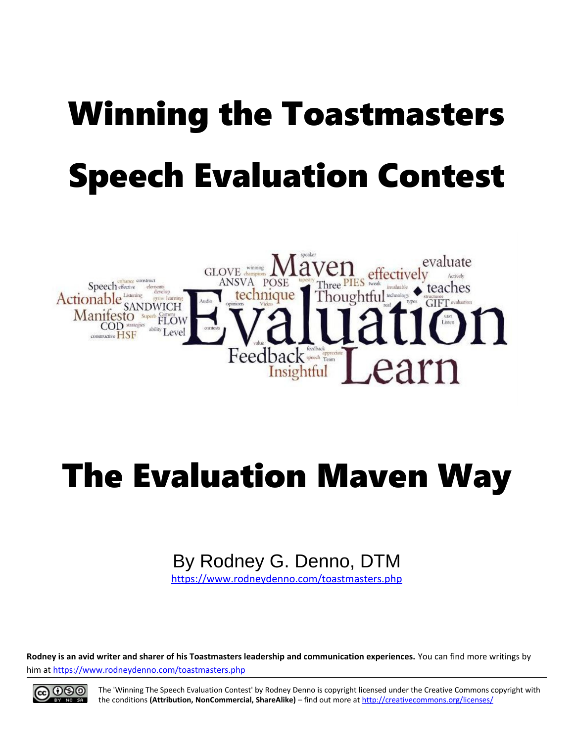# Winning the Toastmasters Speech Evaluation Contest



## The Evaluation Maven Way

## By Rodney G. Denno, DTM

<https://www.rodneydenno.com/toastmasters.php>

**Rodney is an avid writer and sharer of his Toastmasters leadership and communication experiences.** You can find more writings by him at<https://www.rodneydenno.com/toastmasters.php>



The 'Winning The Speech Evaluation Contest' by Rodney Denno is copyright licensed under the Creative Commons copyright with the conditions **(Attribution, NonCommercial, ShareAlike)** – find out more at<http://creativecommons.org/licenses/>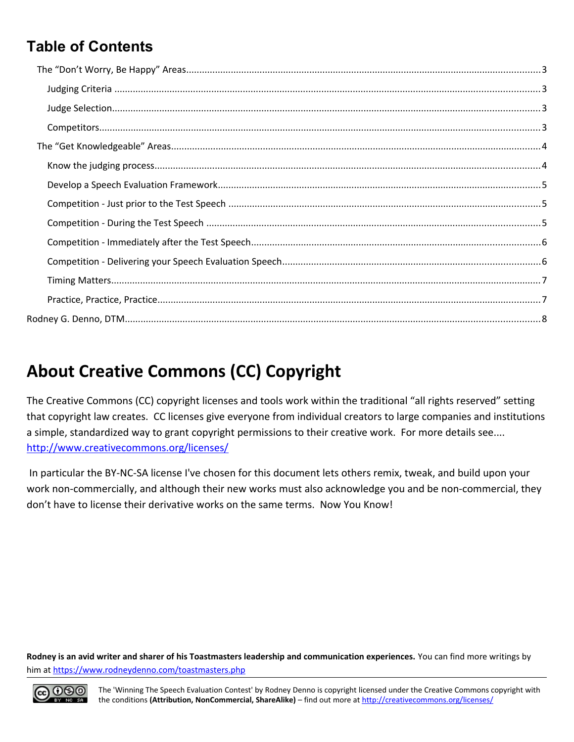### **Table of Contents**

## **About Creative Commons (CC) Copyright**

The Creative Commons (CC) copyright licenses and tools work within the traditional "all rights reserved" setting that copyright law creates. CC licenses give everyone from individual creators to large companies and institutions a simple, standardized way to grant copyright permissions to their creative work. For more details see.... <http://www.creativecommons.org/licenses/>

 In particular the BY-NC-SA license I've chosen for this document lets others remix, tweak, and build upon your work non-commercially, and although their new works must also acknowledge you and be non-commercial, they don't have to license their derivative works on the same terms. Now You Know!

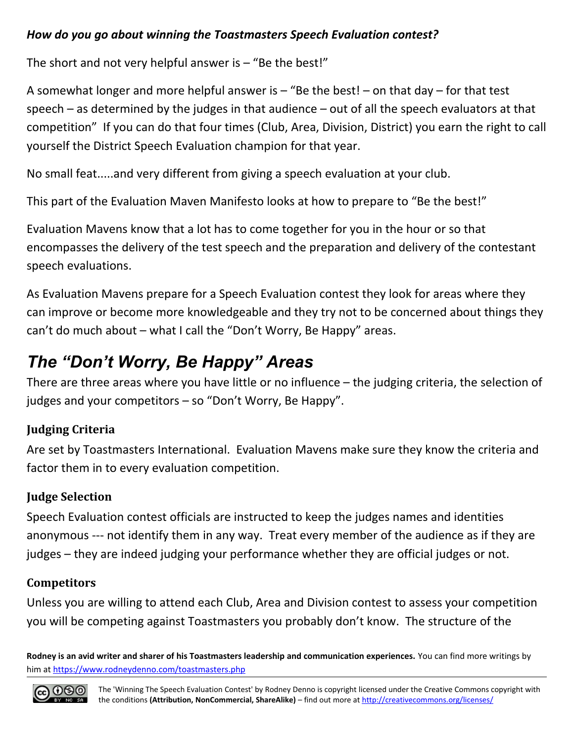#### *How do you go about winning the Toastmasters Speech Evaluation contest?*

The short and not very helpful answer is  $-$  "Be the best!"

A somewhat longer and more helpful answer is – "Be the best! – on that day – for that test speech – as determined by the judges in that audience – out of all the speech evaluators at that competition" If you can do that four times (Club, Area, Division, District) you earn the right to call yourself the District Speech Evaluation champion for that year.

No small feat.....and very different from giving a speech evaluation at your club.

This part of the Evaluation Maven Manifesto looks at how to prepare to "Be the best!"

Evaluation Mavens know that a lot has to come together for you in the hour or so that encompasses the delivery of the test speech and the preparation and delivery of the contestant speech evaluations.

As Evaluation Mavens prepare for a Speech Evaluation contest they look for areas where they can improve or become more knowledgeable and they try not to be concerned about things they can't do much about – what I call the "Don't Worry, Be Happy" areas.

## <span id="page-2-3"></span>*The "Don't Worry, Be Happy" Areas*

There are three areas where you have little or no influence – the judging criteria, the selection of judges and your competitors – so "Don't Worry, Be Happy".

#### <span id="page-2-2"></span>**Judging Criteria**

Are set by Toastmasters International. Evaluation Mavens make sure they know the criteria and factor them in to every evaluation competition.

#### <span id="page-2-1"></span>**Judge Selection**

Speech Evaluation contest officials are instructed to keep the judges names and identities anonymous --- not identify them in any way. Treat every member of the audience as if they are judges – they are indeed judging your performance whether they are official judges or not.

#### <span id="page-2-0"></span>**Competitors**

Unless you are willing to attend each Club, Area and Division contest to assess your competition you will be competing against Toastmasters you probably don't know. The structure of the

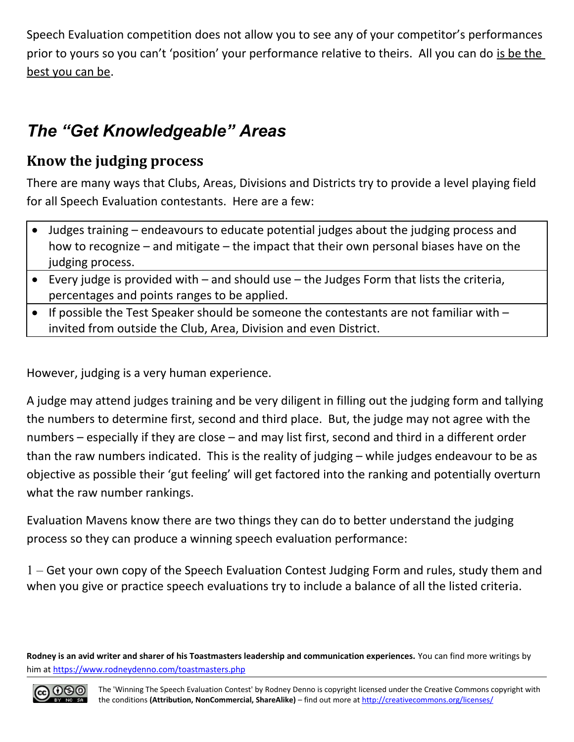Speech Evaluation competition does not allow you to see any of your competitor's performances prior to yours so you can't 'position' your performance relative to theirs. All you can do is be the best you can be.

## <span id="page-3-1"></span>*The "Get Knowledgeable" Areas*

#### <span id="page-3-0"></span>**Know the judging process**

There are many ways that Clubs, Areas, Divisions and Districts try to provide a level playing field for all Speech Evaluation contestants. Here are a few:

- Judges training endeavours to educate potential judges about the judging process and how to recognize – and mitigate – the impact that their own personal biases have on the judging process.
- Every judge is provided with and should use the Judges Form that lists the criteria, percentages and points ranges to be applied.
- If possible the Test Speaker should be someone the contestants are not familiar with  $$ invited from outside the Club, Area, Division and even District.

However, judging is a very human experience.

A judge may attend judges training and be very diligent in filling out the judging form and tallying the numbers to determine first, second and third place. But, the judge may not agree with the numbers – especially if they are close – and may list first, second and third in a different order than the raw numbers indicated. This is the reality of judging – while judges endeavour to be as objective as possible their 'gut feeling' will get factored into the ranking and potentially overturn what the raw number rankings.

Evaluation Mavens know there are two things they can do to better understand the judging process so they can produce a winning speech evaluation performance:

1 – Get your own copy of the Speech Evaluation Contest Judging Form and rules, study them and when you give or practice speech evaluations try to include a balance of all the listed criteria.

**Rodney is an avid writer and sharer of his Toastmasters leadership and communication experiences.** You can find more writings by him at<https://www.rodneydenno.com/toastmasters.php>

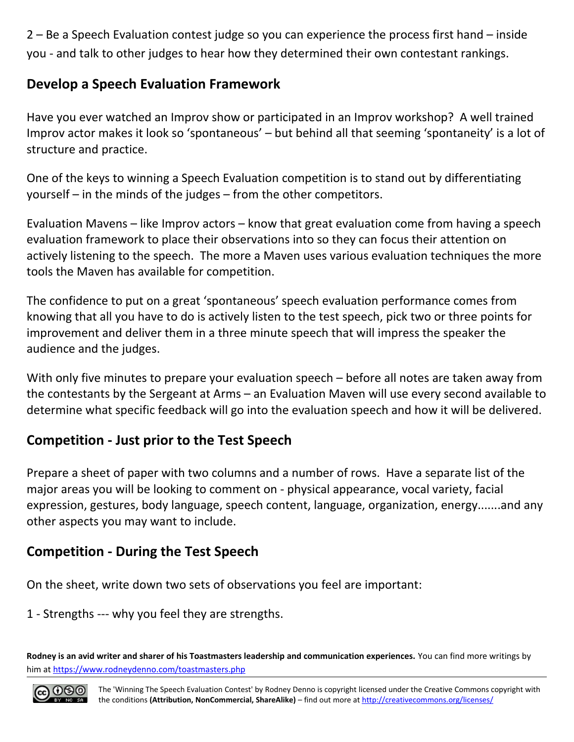2 – Be a Speech Evaluation contest judge so you can experience the process first hand – inside you - and talk to other judges to hear how they determined their own contestant rankings.

#### <span id="page-4-2"></span>**Develop a Speech Evaluation Framework**

Have you ever watched an Improv show or participated in an Improv workshop? A well trained Improv actor makes it look so 'spontaneous' – but behind all that seeming 'spontaneity' is a lot of structure and practice.

One of the keys to winning a Speech Evaluation competition is to stand out by differentiating yourself – in the minds of the judges – from the other competitors.

Evaluation Mavens – like Improv actors – know that great evaluation come from having a speech evaluation framework to place their observations into so they can focus their attention on actively listening to the speech. The more a Maven uses various evaluation techniques the more tools the Maven has available for competition.

The confidence to put on a great 'spontaneous' speech evaluation performance comes from knowing that all you have to do is actively listen to the test speech, pick two or three points for improvement and deliver them in a three minute speech that will impress the speaker the audience and the judges.

With only five minutes to prepare your evaluation speech – before all notes are taken away from the contestants by the Sergeant at Arms – an Evaluation Maven will use every second available to determine what specific feedback will go into the evaluation speech and how it will be delivered.

#### <span id="page-4-1"></span>**Competition - Just prior to the Test Speech**

Prepare a sheet of paper with two columns and a number of rows. Have a separate list of the major areas you will be looking to comment on - physical appearance, vocal variety, facial expression, gestures, body language, speech content, language, organization, energy.......and any other aspects you may want to include.

#### <span id="page-4-0"></span>**Competition - During the Test Speech**

On the sheet, write down two sets of observations you feel are important:

1 - Strengths --- why you feel they are strengths.

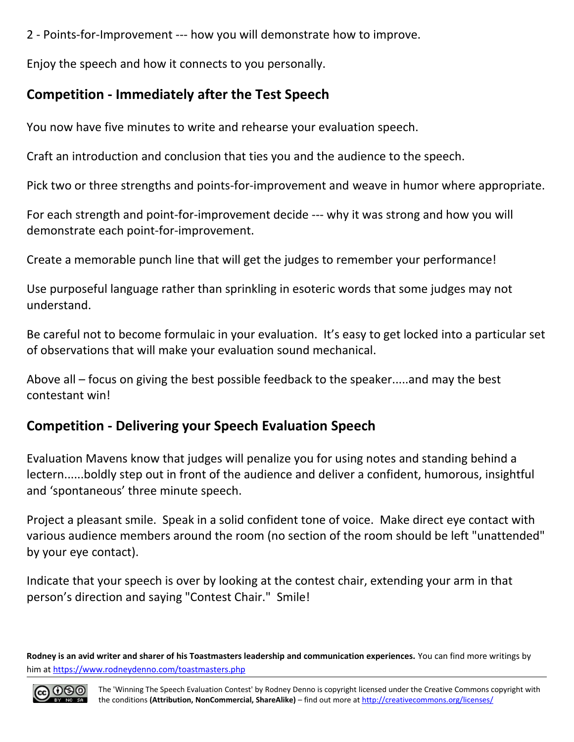2 - Points-for-Improvement --- how you will demonstrate how to improve.

Enjoy the speech and how it connects to you personally.

#### <span id="page-5-1"></span>**Competition - Immediately after the Test Speech**

You now have five minutes to write and rehearse your evaluation speech.

Craft an introduction and conclusion that ties you and the audience to the speech.

Pick two or three strengths and points-for-improvement and weave in humor where appropriate.

For each strength and point-for-improvement decide --- why it was strong and how you will demonstrate each point-for-improvement.

Create a memorable punch line that will get the judges to remember your performance!

Use purposeful language rather than sprinkling in esoteric words that some judges may not understand.

Be careful not to become formulaic in your evaluation. It's easy to get locked into a particular set of observations that will make your evaluation sound mechanical.

Above all – focus on giving the best possible feedback to the speaker.....and may the best contestant win!

#### <span id="page-5-0"></span>**Competition - Delivering your Speech Evaluation Speech**

Evaluation Mavens know that judges will penalize you for using notes and standing behind a lectern......boldly step out in front of the audience and deliver a confident, humorous, insightful and 'spontaneous' three minute speech.

Project a pleasant smile. Speak in a solid confident tone of voice. Make direct eye contact with various audience members around the room (no section of the room should be left "unattended" by your eye contact).

Indicate that your speech is over by looking at the contest chair, extending your arm in that person's direction and saying "Contest Chair." Smile!

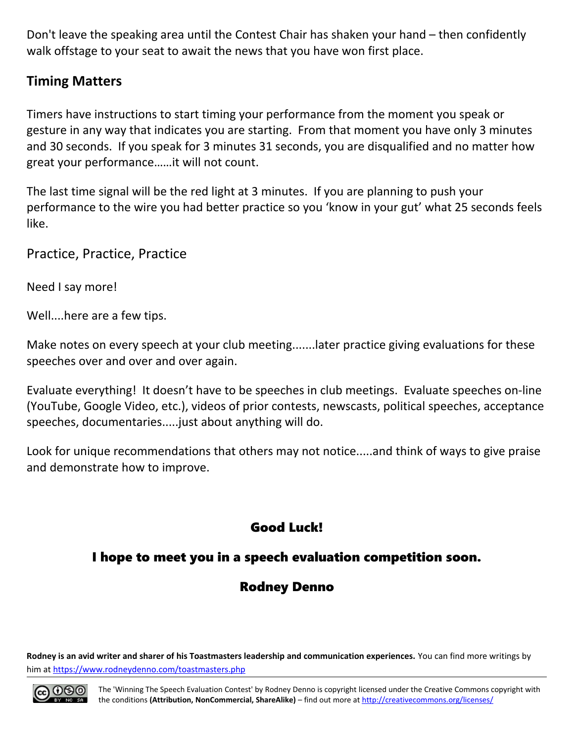Don't leave the speaking area until the Contest Chair has shaken your hand – then confidently walk offstage to your seat to await the news that you have won first place.

#### <span id="page-6-1"></span>**Timing Matters**

Timers have instructions to start timing your performance from the moment you speak or gesture in any way that indicates you are starting. From that moment you have only 3 minutes and 30 seconds. If you speak for 3 minutes 31 seconds, you are disqualified and no matter how great your performance……it will not count.

The last time signal will be the red light at 3 minutes. If you are planning to push your performance to the wire you had better practice so you 'know in your gut' what 25 seconds feels like.

<span id="page-6-0"></span>Practice, Practice, Practice

Need I say more!

Well....here are a few tips.

Make notes on every speech at your club meeting.......later practice giving evaluations for these speeches over and over and over again.

Evaluate everything! It doesn't have to be speeches in club meetings. Evaluate speeches on-line (YouTube, Google Video, etc.), videos of prior contests, newscasts, political speeches, acceptance speeches, documentaries.....just about anything will do.

Look for unique recommendations that others may not notice.....and think of ways to give praise and demonstrate how to improve.

#### Good Luck!

#### I hope to meet you in a speech evaluation competition soon.

#### Rodney Denno